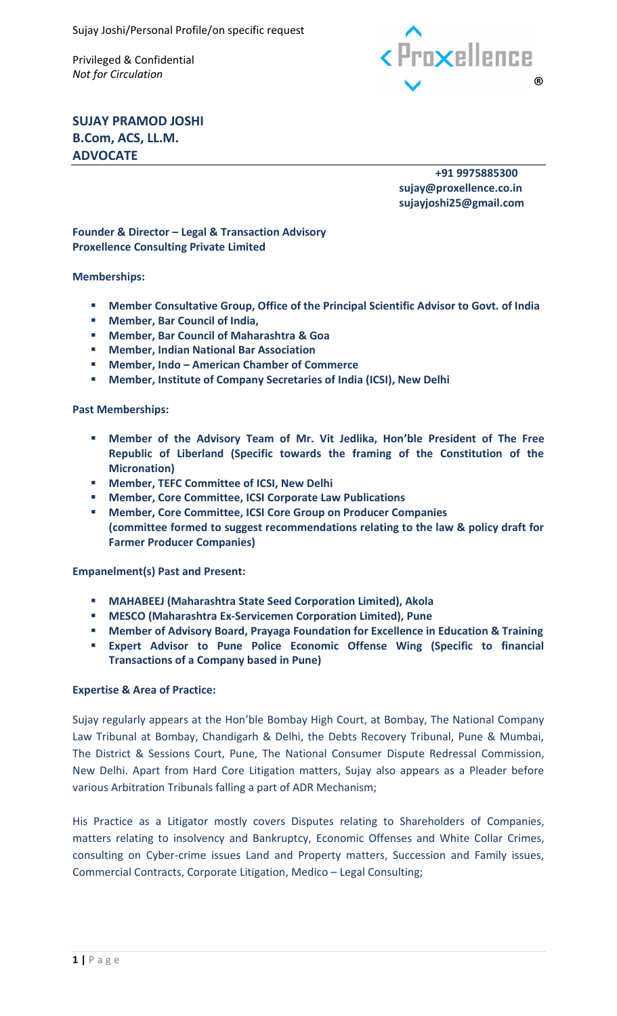Privileged & Confidential



**SUJAY PRAMOD JOSHI B.Com, ACS, LL.M. ADVOCATE**

> **+91 9975885300 sujay@proxellence.co.in sujayjoshi25@gmail.com**

**Founder & Director – Legal & Transaction Advisory Proxellence Consulting Private Limited**

### **Memberships:**

- **Member Consultative Group, Office of the Principal Scientific Advisor to Govt. of India**
- **Member, Bar Council of India,**
- **Member, Bar Council of Maharashtra & Goa**
- **Member, Indian National Bar Association**
- **Member, Indo – American Chamber of Commerce**
- **Member, Institute of Company Secretaries of India (ICSI), New Delhi**

#### **Past Memberships:**

- **Member of the Advisory Team of Mr. Vit Jedlika, Hon'ble President of The Free Republic of Liberland (Specific towards the framing of the Constitution of the Micronation)**
- **Member, TEFC Committee of ICSI, New Delhi**
- **Member, Core Committee, ICSI Corporate Law Publications**
- **Member, Core Committee, ICSI Core Group on Producer Companies (committee formed to suggest recommendations relating to the law & policy draft for Farmer Producer Companies)**

#### **Empanelment(s) Past and Present:**

- **MAHABEEJ (Maharashtra State Seed Corporation Limited), Akola**
- **MESCO (Maharashtra Ex-Servicemen Corporation Limited), Pune**
- **Member of Advisory Board, Prayaga Foundation for Excellence in Education & Training**
- **Expert Advisor to Pune Police Economic Offense Wing (Specific to financial Transactions of a Company based in Pune)**

#### **Expertise & Area of Practice:**

Sujay regularly appears at the Hon'ble Bombay High Court, at Bombay, The National Company Law Tribunal at Bombay, Chandigarh & Delhi, the Debts Recovery Tribunal, Pune & Mumbai, The District & Sessions Court, Pune, The National Consumer Dispute Redressal Commission, New Delhi. Apart from Hard Core Litigation matters, Sujay also appears as a Pleader before various Arbitration Tribunals falling a part of ADR Mechanism;

His Practice as a Litigator mostly covers Disputes relating to Shareholders of Companies, matters relating to insolvency and Bankruptcy, Economic Offenses and White Collar Crimes, consulting on Cyber-crime issues Land and Property matters, Succession and Family issues, Commercial Contracts, Corporate Litigation, Medico – Legal Consulting;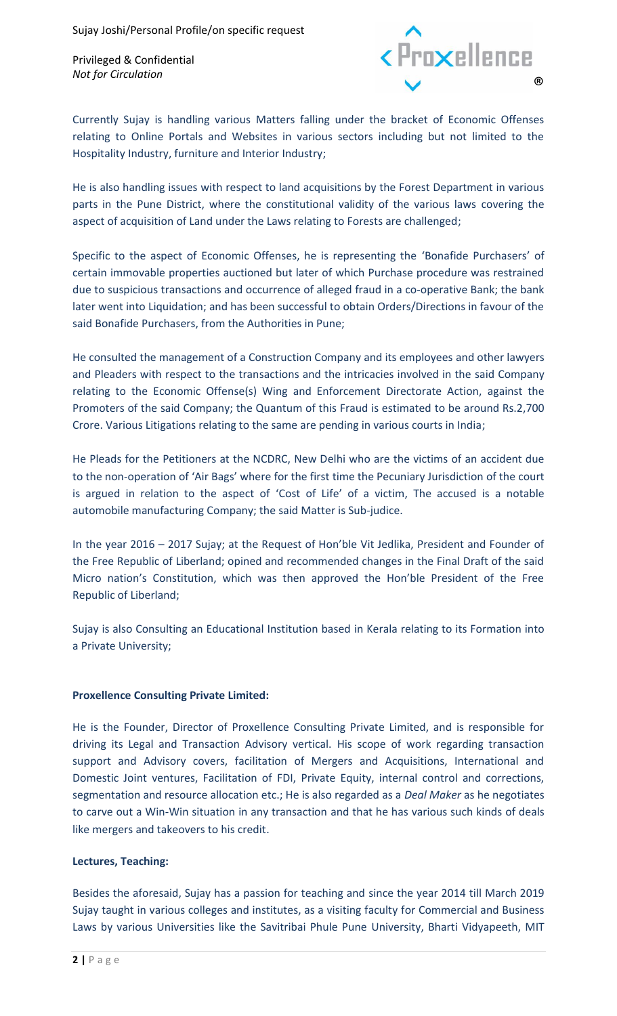Privileged & Confidential



Currently Sujay is handling various Matters falling under the bracket of Economic Offenses relating to Online Portals and Websites in various sectors including but not limited to the Hospitality Industry, furniture and Interior Industry;

He is also handling issues with respect to land acquisitions by the Forest Department in various parts in the Pune District, where the constitutional validity of the various laws covering the aspect of acquisition of Land under the Laws relating to Forests are challenged;

Specific to the aspect of Economic Offenses, he is representing the 'Bonafide Purchasers' of certain immovable properties auctioned but later of which Purchase procedure was restrained due to suspicious transactions and occurrence of alleged fraud in a co-operative Bank; the bank later went into Liquidation; and has been successful to obtain Orders/Directions in favour of the said Bonafide Purchasers, from the Authorities in Pune;

He consulted the management of a Construction Company and its employees and other lawyers and Pleaders with respect to the transactions and the intricacies involved in the said Company relating to the Economic Offense(s) Wing and Enforcement Directorate Action, against the Promoters of the said Company; the Quantum of this Fraud is estimated to be around Rs.2,700 Crore. Various Litigations relating to the same are pending in various courts in India;

He Pleads for the Petitioners at the NCDRC, New Delhi who are the victims of an accident due to the non-operation of 'Air Bags' where for the first time the Pecuniary Jurisdiction of the court is argued in relation to the aspect of 'Cost of Life' of a victim, The accused is a notable automobile manufacturing Company; the said Matter is Sub-judice.

In the year 2016 – 2017 Sujay; at the Request of Hon'ble Vit Jedlika, President and Founder of the Free Republic of Liberland; opined and recommended changes in the Final Draft of the said Micro nation's Constitution, which was then approved the Hon'ble President of the Free Republic of Liberland;

Sujay is also Consulting an Educational Institution based in Kerala relating to its Formation into a Private University;

# **Proxellence Consulting Private Limited:**

He is the Founder, Director of Proxellence Consulting Private Limited, and is responsible for driving its Legal and Transaction Advisory vertical. His scope of work regarding transaction support and Advisory covers, facilitation of Mergers and Acquisitions, International and Domestic Joint ventures, Facilitation of FDI, Private Equity, internal control and corrections, segmentation and resource allocation etc.; He is also regarded as a *Deal Maker* as he negotiates to carve out a Win-Win situation in any transaction and that he has various such kinds of deals like mergers and takeovers to his credit.

# **Lectures, Teaching:**

Besides the aforesaid, Sujay has a passion for teaching and since the year 2014 till March 2019 Sujay taught in various colleges and institutes, as a visiting faculty for Commercial and Business Laws by various Universities like the Savitribai Phule Pune University, Bharti Vidyapeeth, MIT